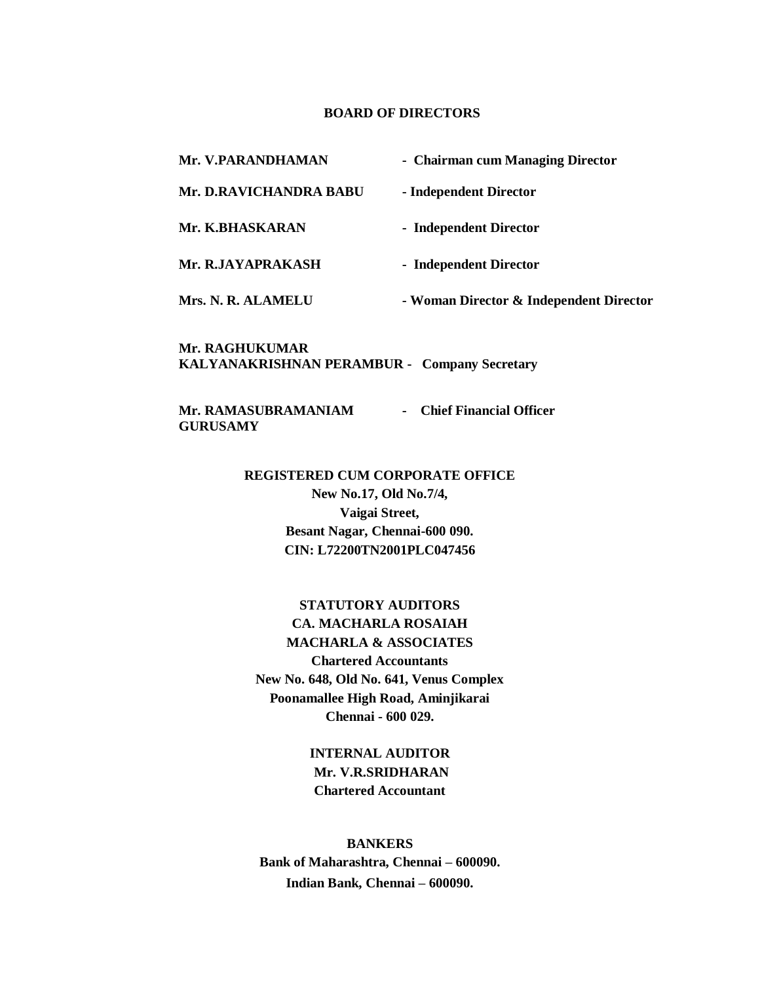### **BOARD OF DIRECTORS**

**Mr. V.PARANDHAMAN - Chairman cum Managing Director Mr. D.RAVICHANDRA BABU - Independent Director Mr. K.BHASKARAN - Independent Director**

Mr. R.JAYAPRAKASH - Independent Director

 **Mrs. N. R. ALAMELU - Woman Director & Independent Director**

**Mr. RAGHUKUMAR KALYANAKRISHNAN PERAMBUR - Company Secretary** 

**Mr. RAMASUBRAMANIAM - Chief Financial Officer GURUSAMY**

#### **REGISTERED CUM CORPORATE OFFICE**

**New No.17, Old No.7/4, Vaigai Street, Besant Nagar, Chennai-600 090. CIN: L72200TN2001PLC047456**

**STATUTORY AUDITORS CA. MACHARLA ROSAIAH MACHARLA & ASSOCIATES Chartered Accountants New No. 648, Old No. 641, Venus Complex Poonamallee High Road, Aminjikarai Chennai - 600 029.**

> **INTERNAL AUDITOR Mr. V.R.SRIDHARAN Chartered Accountant**

**BANKERS Bank of Maharashtra, Chennai – 600090. Indian Bank, Chennai – 600090.**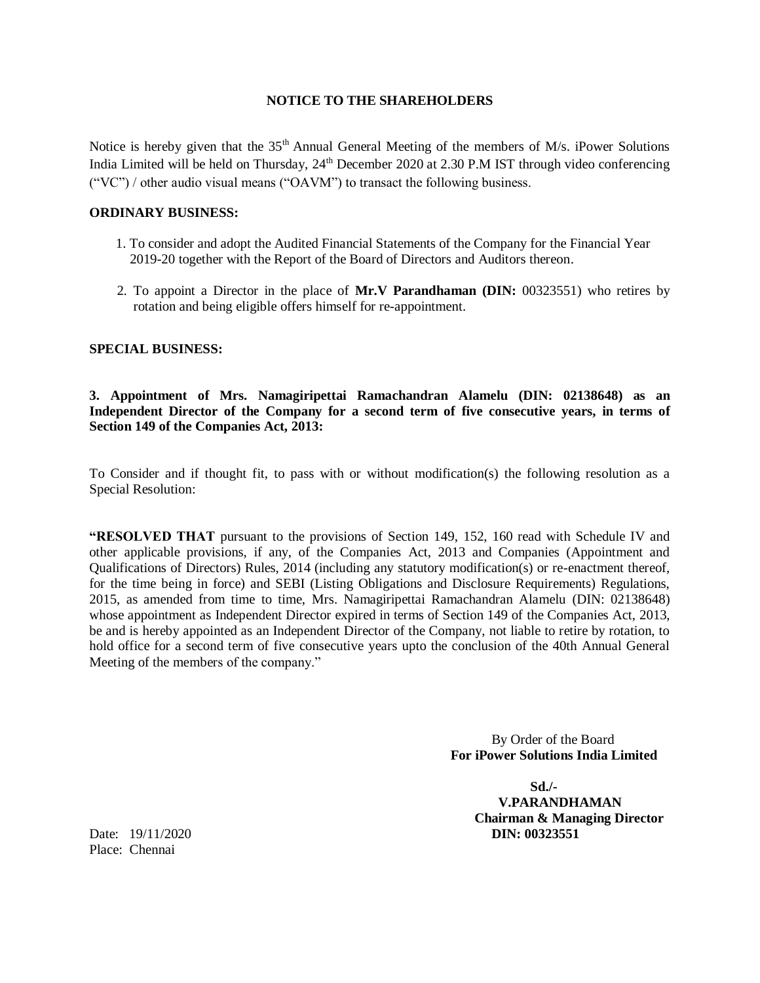### **NOTICE TO THE SHAREHOLDERS**

Notice is hereby given that the 35<sup>th</sup> Annual General Meeting of the members of M/s. iPower Solutions India Limited will be held on Thursday, 24<sup>th</sup> December 2020 at 2.30 P.M IST through video conferencing ("VC") / other audio visual means ("OAVM") to transact the following business.

### **ORDINARY BUSINESS:**

- 1. To consider and adopt the Audited Financial Statements of the Company for the Financial Year 2019-20 together with the Report of the Board of Directors and Auditors thereon.
- 2. To appoint a Director in the place of **Mr.V Parandhaman (DIN:** 00323551) who retires by rotation and being eligible offers himself for re-appointment.

### **SPECIAL BUSINESS:**

### **3. Appointment of Mrs. Namagiripettai Ramachandran Alamelu (DIN: 02138648) as an Independent Director of the Company for a second term of five consecutive years, in terms of Section 149 of the Companies Act, 2013:**

To Consider and if thought fit, to pass with or without modification(s) the following resolution as a Special Resolution:

**"RESOLVED THAT** pursuant to the provisions of Section 149, 152, 160 read with Schedule IV and other applicable provisions, if any, of the Companies Act, 2013 and Companies (Appointment and Qualifications of Directors) Rules, 2014 (including any statutory modification(s) or re-enactment thereof, for the time being in force) and SEBI (Listing Obligations and Disclosure Requirements) Regulations, 2015, as amended from time to time, Mrs. Namagiripettai Ramachandran Alamelu (DIN: 02138648) whose appointment as Independent Director expired in terms of Section 149 of the Companies Act, 2013, be and is hereby appointed as an Independent Director of the Company, not liable to retire by rotation, to hold office for a second term of five consecutive years upto the conclusion of the 40th Annual General Meeting of the members of the company."

> By Order of the Board **For iPower Solutions India Limited**

 **Sd./- V.PARANDHAMAN Chairman & Managing Director** Date: 19/11/2020 **DIN: 00323551**

Place: Chennai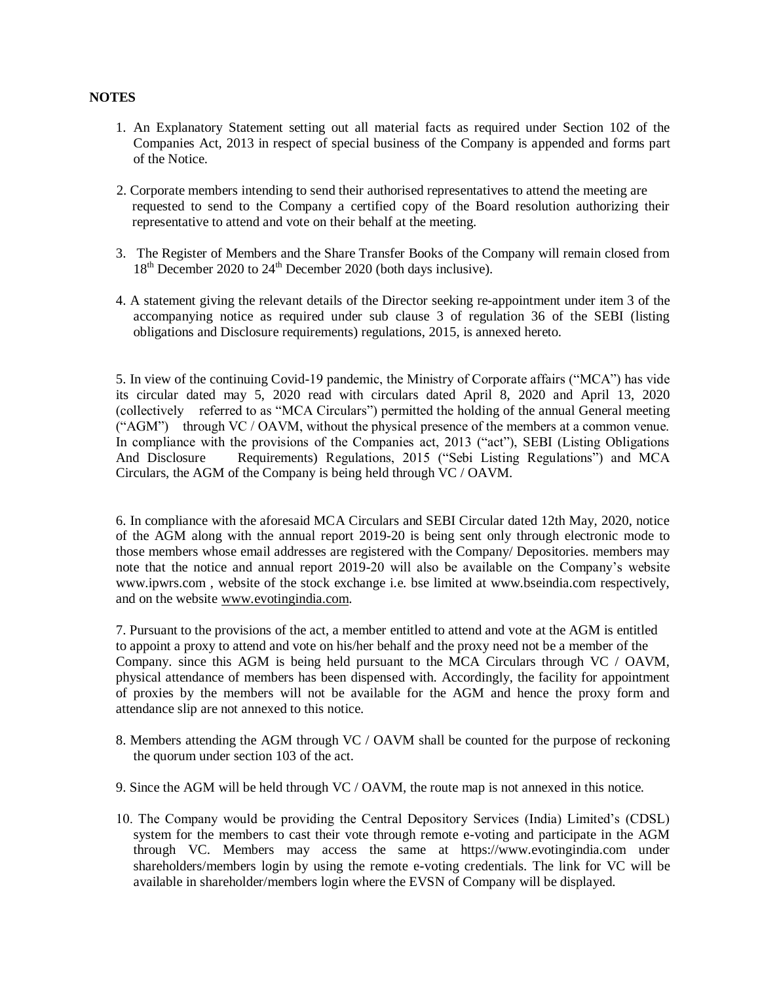### **NOTES**

- 1. An Explanatory Statement setting out all material facts as required under Section 102 of the Companies Act, 2013 in respect of special business of the Company is appended and forms part of the Notice.
- 2. Corporate members intending to send their authorised representatives to attend the meeting are requested to send to the Company a certified copy of the Board resolution authorizing their representative to attend and vote on their behalf at the meeting.
- 3. The Register of Members and the Share Transfer Books of the Company will remain closed from 18<sup>th</sup> December 2020 to 24<sup>th</sup> December 2020 (both days inclusive).
- 4. A statement giving the relevant details of the Director seeking re-appointment under item 3 of the accompanying notice as required under sub clause 3 of regulation 36 of the SEBI (listing obligations and Disclosure requirements) regulations, 2015, is annexed hereto.

5. In view of the continuing Covid-19 pandemic, the Ministry of Corporate affairs ("MCA") has vide its circular dated may 5, 2020 read with circulars dated April 8, 2020 and April 13, 2020 (collectively referred to as "MCA Circulars") permitted the holding of the annual General meeting ("AGM") through VC / OAVM, without the physical presence of the members at a common venue. In compliance with the provisions of the Companies act, 2013 ("act"), SEBI (Listing Obligations And Disclosure Requirements) Regulations, 2015 ("Sebi Listing Regulations") and MCA Circulars, the AGM of the Company is being held through VC / OAVM.

6. In compliance with the aforesaid MCA Circulars and SEBI Circular dated 12th May, 2020, notice of the AGM along with the annual report 2019-20 is being sent only through electronic mode to those members whose email addresses are registered with the Company/ Depositories. members may note that the notice and annual report 2019-20 will also be available on the Company's website www.ipwrs.com , website of the stock exchange i.e. bse limited at www.bseindia.com respectively, and on the website [www.evotingindia.com.](http://www.evotingindia.com/)

7. Pursuant to the provisions of the act, a member entitled to attend and vote at the AGM is entitled to appoint a proxy to attend and vote on his/her behalf and the proxy need not be a member of the Company. since this AGM is being held pursuant to the MCA Circulars through VC / OAVM, physical attendance of members has been dispensed with. Accordingly, the facility for appointment of proxies by the members will not be available for the AGM and hence the proxy form and attendance slip are not annexed to this notice.

- 8. Members attending the AGM through VC / OAVM shall be counted for the purpose of reckoning the quorum under section 103 of the act.
- 9. Since the AGM will be held through VC / OAVM, the route map is not annexed in this notice.
- 10. The Company would be providing the Central Depository Services (India) Limited's (CDSL) system for the members to cast their vote through remote e-voting and participate in the AGM through VC. Members may access the same at https://www.evotingindia.com under shareholders/members login by using the remote e-voting credentials. The link for VC will be available in shareholder/members login where the EVSN of Company will be displayed.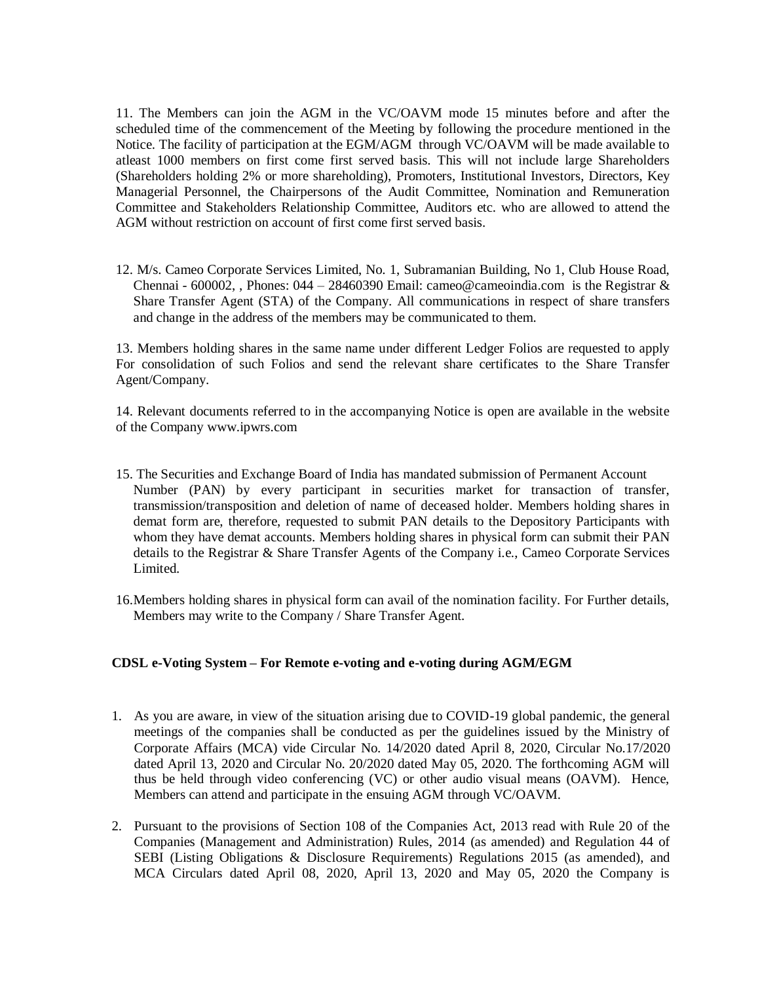11. The Members can join the AGM in the VC/OAVM mode 15 minutes before and after the scheduled time of the commencement of the Meeting by following the procedure mentioned in the Notice. The facility of participation at the EGM/AGM through VC/OAVM will be made available to atleast 1000 members on first come first served basis. This will not include large Shareholders (Shareholders holding 2% or more shareholding), Promoters, Institutional Investors, Directors, Key Managerial Personnel, the Chairpersons of the Audit Committee, Nomination and Remuneration Committee and Stakeholders Relationship Committee, Auditors etc. who are allowed to attend the AGM without restriction on account of first come first served basis.

12. M/s. Cameo Corporate Services Limited, No. 1, Subramanian Building, No 1, Club House Road, Chennai - 600002, , Phones: 044 – 28460390 Email: cameo@cameoindia.com is the Registrar  $\&$ Share Transfer Agent (STA) of the Company. All communications in respect of share transfers and change in the address of the members may be communicated to them.

13. Members holding shares in the same name under different Ledger Folios are requested to apply For consolidation of such Folios and send the relevant share certificates to the Share Transfer Agent/Company.

14. Relevant documents referred to in the accompanying Notice is open are available in the website of the Company www.ipwrs.com

- 15. The Securities and Exchange Board of India has mandated submission of Permanent Account Number (PAN) by every participant in securities market for transaction of transfer, transmission/transposition and deletion of name of deceased holder. Members holding shares in demat form are, therefore, requested to submit PAN details to the Depository Participants with whom they have demat accounts. Members holding shares in physical form can submit their PAN details to the Registrar & Share Transfer Agents of the Company i.e., Cameo Corporate Services Limited.
- 16.Members holding shares in physical form can avail of the nomination facility. For Further details, Members may write to the Company / Share Transfer Agent.

### **CDSL e-Voting System – For Remote e-voting and e-voting during AGM/EGM**

- 1. As you are aware, in view of the situation arising due to COVID-19 global pandemic, the general meetings of the companies shall be conducted as per the guidelines issued by the Ministry of Corporate Affairs (MCA) vide Circular No. 14/2020 dated April 8, 2020, Circular No.17/2020 dated April 13, 2020 and Circular No. 20/2020 dated May 05, 2020. The forthcoming AGM will thus be held through video conferencing (VC) or other audio visual means (OAVM). Hence, Members can attend and participate in the ensuing AGM through VC/OAVM.
- 2. Pursuant to the provisions of Section 108 of the Companies Act, 2013 read with Rule 20 of the Companies (Management and Administration) Rules, 2014 (as amended) and Regulation 44 of SEBI (Listing Obligations & Disclosure Requirements) Regulations 2015 (as amended), and MCA Circulars dated April 08, 2020, April 13, 2020 and May 05, 2020 the Company is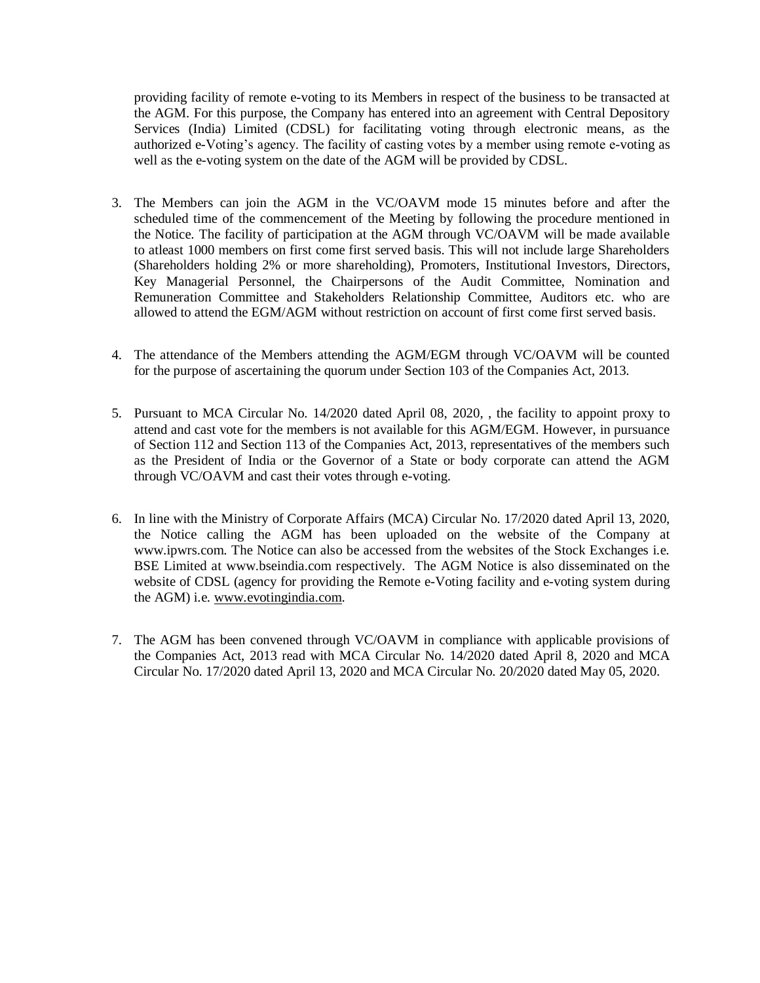providing facility of remote e-voting to its Members in respect of the business to be transacted at the AGM. For this purpose, the Company has entered into an agreement with Central Depository Services (India) Limited (CDSL) for facilitating voting through electronic means, as the authorized e-Voting's agency. The facility of casting votes by a member using remote e-voting as well as the e-voting system on the date of the AGM will be provided by CDSL.

- 3. The Members can join the AGM in the VC/OAVM mode 15 minutes before and after the scheduled time of the commencement of the Meeting by following the procedure mentioned in the Notice. The facility of participation at the AGM through VC/OAVM will be made available to atleast 1000 members on first come first served basis. This will not include large Shareholders (Shareholders holding 2% or more shareholding), Promoters, Institutional Investors, Directors, Key Managerial Personnel, the Chairpersons of the Audit Committee, Nomination and Remuneration Committee and Stakeholders Relationship Committee, Auditors etc. who are allowed to attend the EGM/AGM without restriction on account of first come first served basis.
- 4. The attendance of the Members attending the AGM/EGM through VC/OAVM will be counted for the purpose of ascertaining the quorum under Section 103 of the Companies Act, 2013.
- 5. Pursuant to MCA Circular No. 14/2020 dated April 08, 2020, , the facility to appoint proxy to attend and cast vote for the members is not available for this AGM/EGM. However, in pursuance of Section 112 and Section 113 of the Companies Act, 2013, representatives of the members such as the President of India or the Governor of a State or body corporate can attend the AGM through VC/OAVM and cast their votes through e-voting.
- 6. In line with the Ministry of Corporate Affairs (MCA) Circular No. 17/2020 dated April 13, 2020, the Notice calling the AGM has been uploaded on the website of the Company at www.ipwrs.com. The Notice can also be accessed from the websites of the Stock Exchanges i.e. BSE Limited at www.bseindia.com respectively. The AGM Notice is also disseminated on the website of CDSL (agency for providing the Remote e-Voting facility and e-voting system during the AGM) i.e. [www.evotingindia.com.](http://www.evotingindia.com/)
- 7. The AGM has been convened through VC/OAVM in compliance with applicable provisions of the Companies Act, 2013 read with MCA Circular No. 14/2020 dated April 8, 2020 and MCA Circular No. 17/2020 dated April 13, 2020 and MCA Circular No. 20/2020 dated May 05, 2020.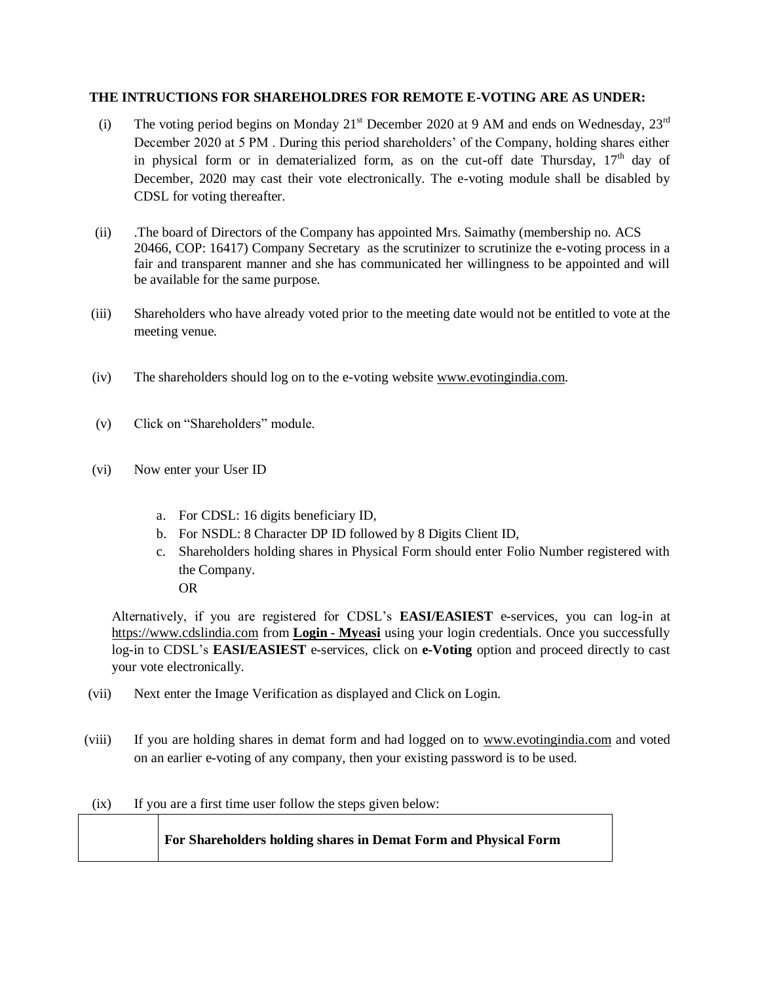### **THE INTRUCTIONS FOR SHAREHOLDRES FOR REMOTE E-VOTING ARE AS UNDER:**

- (i) The voting period begins on Monday 21<sup>st</sup> December 2020 at 9 AM and ends on Wednesday, 23<sup>rd</sup> December 2020 at 5 PM . During this period shareholders' of the Company, holding shares either in physical form or in dematerialized form, as on the cut-off date Thursday,  $17<sup>th</sup>$  day of December, 2020 may cast their vote electronically. The e-voting module shall be disabled by CDSL for voting thereafter.
- (ii) .The board of Directors of the Company has appointed Mrs. Saimathy (membership no. ACS 20466, COP: 16417) Company Secretary as the scrutinizer to scrutinize the e-voting process in a fair and transparent manner and she has communicated her willingness to be appointed and will be available for the same purpose.
- (iii) Shareholders who have already voted prior to the meeting date would not be entitled to vote at the meeting venue.
- (iv) The shareholders should log on to the e-voting website [www.evotingindia.com.](http://www.evotingindia.com/)
- (v) Click on "Shareholders" module.
- (vi) Now enter your User ID
	- a. For CDSL: 16 digits beneficiary ID,
	- b. For NSDL: 8 Character DP ID followed by 8 Digits Client ID,
	- c. Shareholders holding shares in Physical Form should enter Folio Number registered with the Company. OR

Alternatively, if you are registered for CDSL's **EASI/EASIEST** e-services, you can log-in at [https://www.cdslindia.com](https://www.cdslindia.com/) from **[Login](file:///C:/Users/SAI%20ACER/Downloads/Login - Myeasi)** - **My**e**asi** using your login credentials. Once you successfully log-in to CDSL's **EASI/EASIEST** e-services, click on **e-Voting** option and proceed directly to cast your vote electronically.

- (vii) Next enter the Image Verification as displayed and Click on Login.
- (viii) If you are holding shares in demat form and had logged on to [www.evotingindia.com](http://www.evotingindia.com/) and voted on an earlier e-voting of any company, then your existing password is to be used.
- (ix) If you are a first time user follow the steps given below:

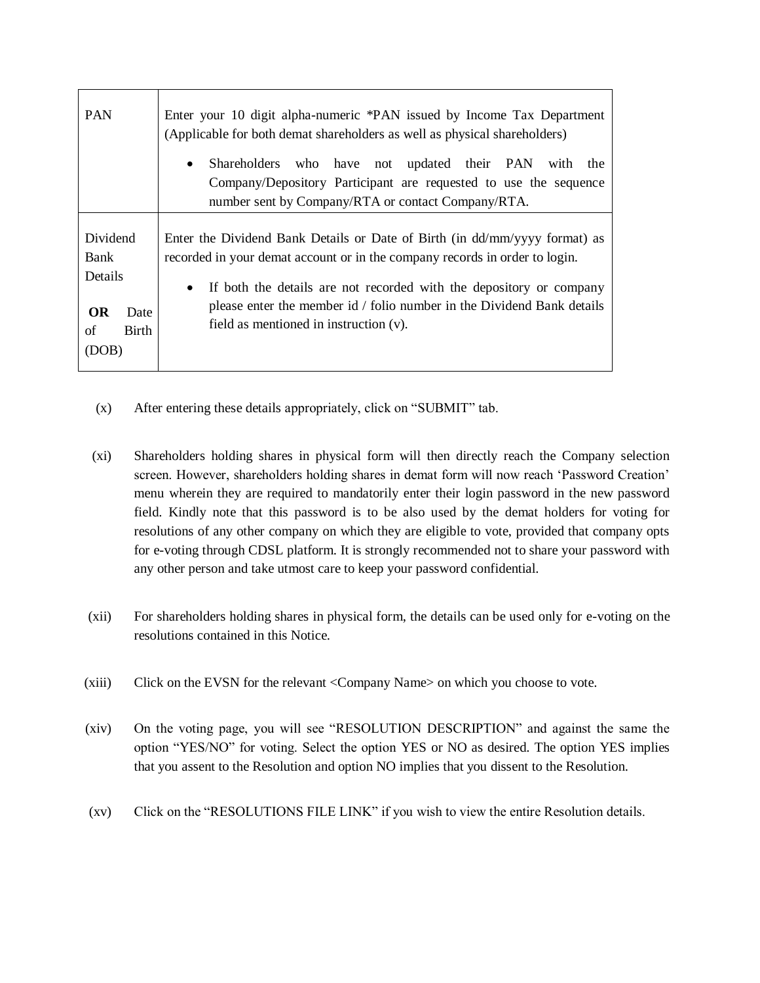| <b>PAN</b>                                                                      | Enter your 10 digit alpha-numeric *PAN issued by Income Tax Department<br>(Applicable for both demat shareholders as well as physical shareholders)                                                                                                                                                                                                               |  |  |
|---------------------------------------------------------------------------------|-------------------------------------------------------------------------------------------------------------------------------------------------------------------------------------------------------------------------------------------------------------------------------------------------------------------------------------------------------------------|--|--|
|                                                                                 | who have not updated their PAN with the<br>Shareholders<br>$\bullet$<br>Company/Depository Participant are requested to use the sequence<br>number sent by Company/RTA or contact Company/RTA.                                                                                                                                                                    |  |  |
| Dividend<br>Bank<br>Details<br><b>OR</b><br>Date<br><b>Birth</b><br>of<br>(DOB) | Enter the Dividend Bank Details or Date of Birth (in dd/mm/yyyy format) as<br>recorded in your demat account or in the company records in order to login.<br>If both the details are not recorded with the depository or company<br>$\bullet$<br>please enter the member id / folio number in the Dividend Bank details<br>field as mentioned in instruction (v). |  |  |

- (x) After entering these details appropriately, click on "SUBMIT" tab.
- (xi) Shareholders holding shares in physical form will then directly reach the Company selection screen. However, shareholders holding shares in demat form will now reach 'Password Creation' menu wherein they are required to mandatorily enter their login password in the new password field. Kindly note that this password is to be also used by the demat holders for voting for resolutions of any other company on which they are eligible to vote, provided that company opts for e-voting through CDSL platform. It is strongly recommended not to share your password with any other person and take utmost care to keep your password confidential.
- (xii) For shareholders holding shares in physical form, the details can be used only for e-voting on the resolutions contained in this Notice.
- (xiii) Click on the EVSN for the relevant <Company Name> on which you choose to vote.
- (xiv) On the voting page, you will see "RESOLUTION DESCRIPTION" and against the same the option "YES/NO" for voting. Select the option YES or NO as desired. The option YES implies that you assent to the Resolution and option NO implies that you dissent to the Resolution.
- (xv) Click on the "RESOLUTIONS FILE LINK" if you wish to view the entire Resolution details.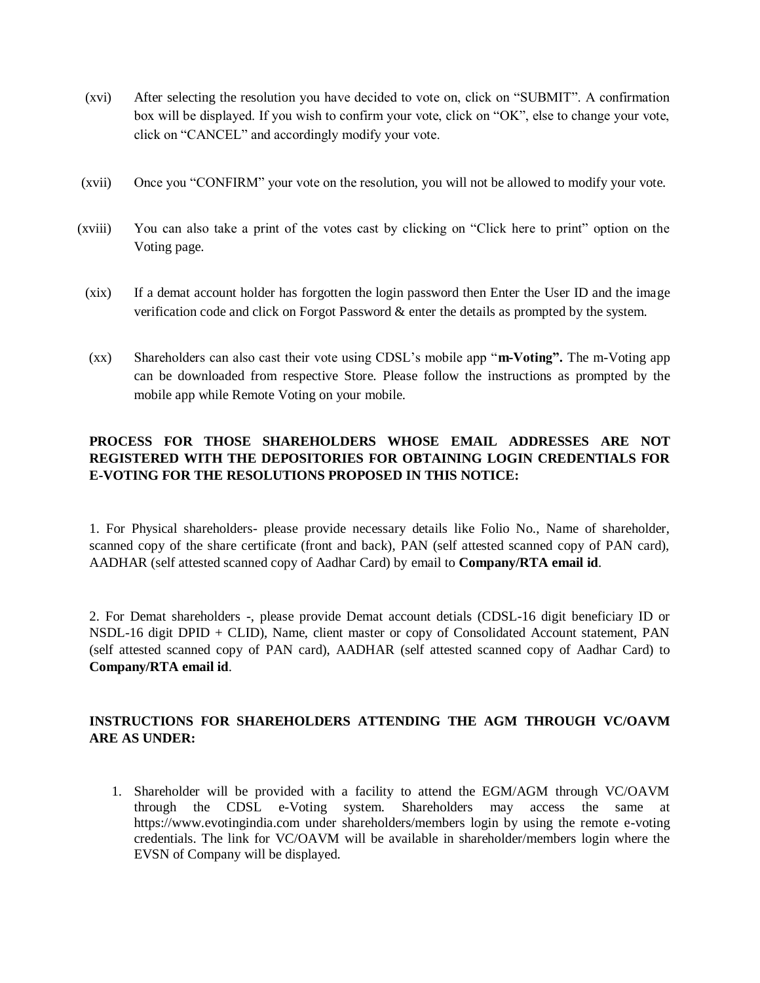- (xvi) After selecting the resolution you have decided to vote on, click on "SUBMIT". A confirmation box will be displayed. If you wish to confirm your vote, click on "OK", else to change your vote, click on "CANCEL" and accordingly modify your vote.
- (xvii) Once you "CONFIRM" your vote on the resolution, you will not be allowed to modify your vote.
- (xviii) You can also take a print of the votes cast by clicking on "Click here to print" option on the Voting page.
- (xix) If a demat account holder has forgotten the login password then Enter the User ID and the image verification code and click on Forgot Password & enter the details as prompted by the system.
- (xx) Shareholders can also cast their vote using CDSL's mobile app "**m-Voting".** The m-Voting app can be downloaded from respective Store. Please follow the instructions as prompted by the mobile app while Remote Voting on your mobile.

# **PROCESS FOR THOSE SHAREHOLDERS WHOSE EMAIL ADDRESSES ARE NOT REGISTERED WITH THE DEPOSITORIES FOR OBTAINING LOGIN CREDENTIALS FOR E-VOTING FOR THE RESOLUTIONS PROPOSED IN THIS NOTICE:**

1. For Physical shareholders- please provide necessary details like Folio No., Name of shareholder, scanned copy of the share certificate (front and back), PAN (self attested scanned copy of PAN card), AADHAR (self attested scanned copy of Aadhar Card) by email to **Company/RTA email id**.

2. For Demat shareholders -, please provide Demat account detials (CDSL-16 digit beneficiary ID or NSDL-16 digit DPID + CLID), Name, client master or copy of Consolidated Account statement, PAN (self attested scanned copy of PAN card), AADHAR (self attested scanned copy of Aadhar Card) to **Company/RTA email id**.

# **INSTRUCTIONS FOR SHAREHOLDERS ATTENDING THE AGM THROUGH VC/OAVM ARE AS UNDER:**

1. Shareholder will be provided with a facility to attend the EGM/AGM through VC/OAVM through the CDSL e-Voting system. Shareholders may access the same at https://www.evotingindia.com under shareholders/members login by using the remote e-voting credentials. The link for VC/OAVM will be available in shareholder/members login where the EVSN of Company will be displayed.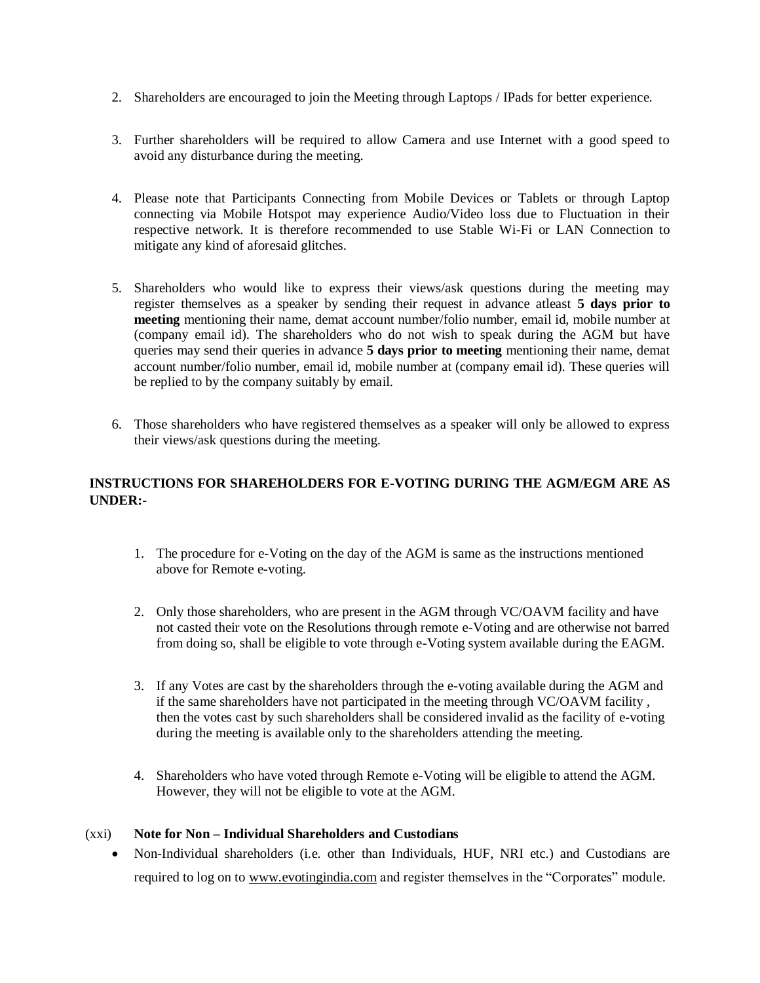- 2. Shareholders are encouraged to join the Meeting through Laptops / IPads for better experience.
- 3. Further shareholders will be required to allow Camera and use Internet with a good speed to avoid any disturbance during the meeting.
- 4. Please note that Participants Connecting from Mobile Devices or Tablets or through Laptop connecting via Mobile Hotspot may experience Audio/Video loss due to Fluctuation in their respective network. It is therefore recommended to use Stable Wi-Fi or LAN Connection to mitigate any kind of aforesaid glitches.
- 5. Shareholders who would like to express their views/ask questions during the meeting may register themselves as a speaker by sending their request in advance atleast **5 days prior to meeting** mentioning their name, demat account number/folio number, email id, mobile number at (company email id). The shareholders who do not wish to speak during the AGM but have queries may send their queries in advance **5 days prior to meeting** mentioning their name, demat account number/folio number, email id, mobile number at (company email id). These queries will be replied to by the company suitably by email.
- 6. Those shareholders who have registered themselves as a speaker will only be allowed to express their views/ask questions during the meeting.

## **INSTRUCTIONS FOR SHAREHOLDERS FOR E-VOTING DURING THE AGM/EGM ARE AS UNDER:-**

- 1. The procedure for e-Voting on the day of the AGM is same as the instructions mentioned above for Remote e-voting.
- 2. Only those shareholders, who are present in the AGM through VC/OAVM facility and have not casted their vote on the Resolutions through remote e-Voting and are otherwise not barred from doing so, shall be eligible to vote through e-Voting system available during the EAGM.
- 3. If any Votes are cast by the shareholders through the e-voting available during the AGM and if the same shareholders have not participated in the meeting through VC/OAVM facility , then the votes cast by such shareholders shall be considered invalid as the facility of e-voting during the meeting is available only to the shareholders attending the meeting.
- 4. Shareholders who have voted through Remote e-Voting will be eligible to attend the AGM. However, they will not be eligible to vote at the AGM.

### (xxi) **Note for Non – Individual Shareholders and Custodians**

 Non-Individual shareholders (i.e. other than Individuals, HUF, NRI etc.) and Custodians are required to log on to [www.evotingindia.com](http://www.evotingindia.com/) and register themselves in the "Corporates" module.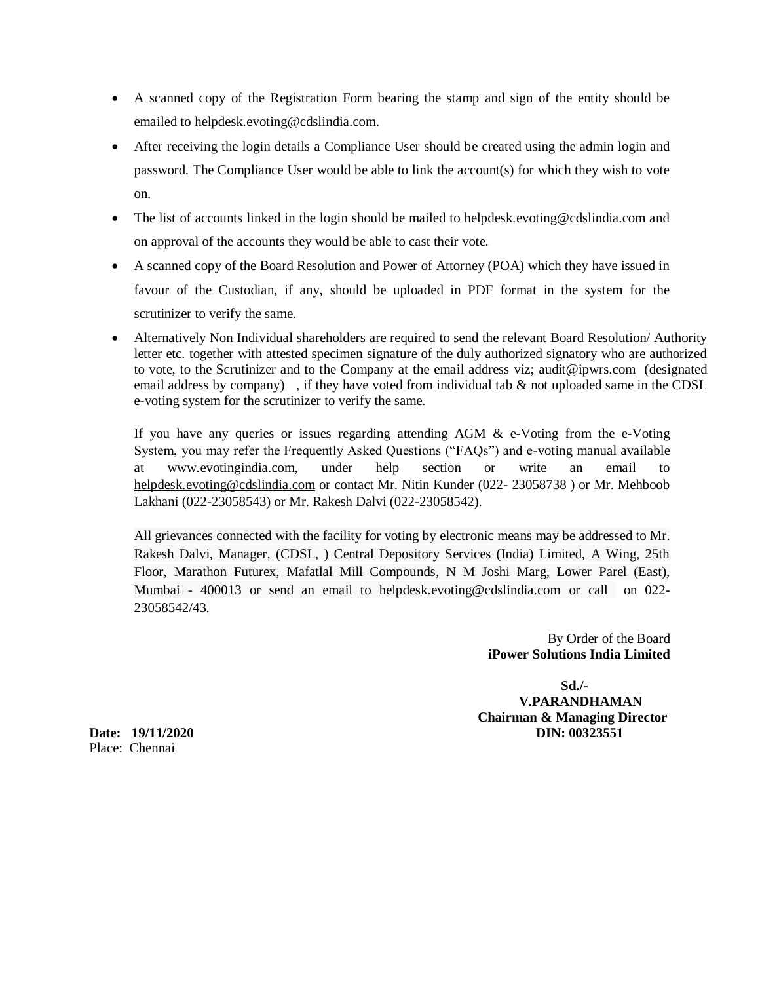- A scanned copy of the Registration Form bearing the stamp and sign of the entity should be emailed to [helpdesk.evoting@cdslindia.com.](mailto:helpdesk.evoting@cdslindia.com)
- After receiving the login details a Compliance User should be created using the admin login and password. The Compliance User would be able to link the account(s) for which they wish to vote on.
- The list of accounts linked in the login should be mailed to helpdesk.evoting@cdslindia.com and on approval of the accounts they would be able to cast their vote.
- A scanned copy of the Board Resolution and Power of Attorney (POA) which they have issued in favour of the Custodian, if any, should be uploaded in PDF format in the system for the scrutinizer to verify the same.
- Alternatively Non Individual shareholders are required to send the relevant Board Resolution/ Authority letter etc. together with attested specimen signature of the duly authorized signatory who are authorized to vote, to the Scrutinizer and to the Company at the email address viz; audit@ipwrs.com (designated email address by company), if they have voted from individual tab  $\&$  not uploaded same in the CDSL e-voting system for the scrutinizer to verify the same.

If you have any queries or issues regarding attending  $AGM \& e$ -Voting from the e-Voting System, you may refer the Frequently Asked Questions ("FAQs") and e-voting manual available at [www.evotingindia.com,](http://www.evotingindia.com/) under help section or write an email to [helpdesk.evoting@cdslindia.com](mailto:helpdesk.evoting@cdslindia.com) or contact Mr. Nitin Kunder (022- 23058738) or Mr. Mehboob Lakhani (022-23058543) or Mr. Rakesh Dalvi (022-23058542).

All grievances connected with the facility for voting by electronic means may be addressed to Mr. Rakesh Dalvi, Manager, (CDSL, ) Central Depository Services (India) Limited, A Wing, 25th Floor, Marathon Futurex, Mafatlal Mill Compounds, N M Joshi Marg, Lower Parel (East), Mumbai - 400013 or send an email to [helpdesk.evoting@cdslindia.com](mailto:helpdesk.evoting@cdslindia.com) or call on 022- 23058542/43.

> By Order of the Board **iPower Solutions India Limited**

 **Sd./- V.PARANDHAMAN Chairman & Managing Director Date: 19/11/2020 DIN: 00323551**

Place: Chennai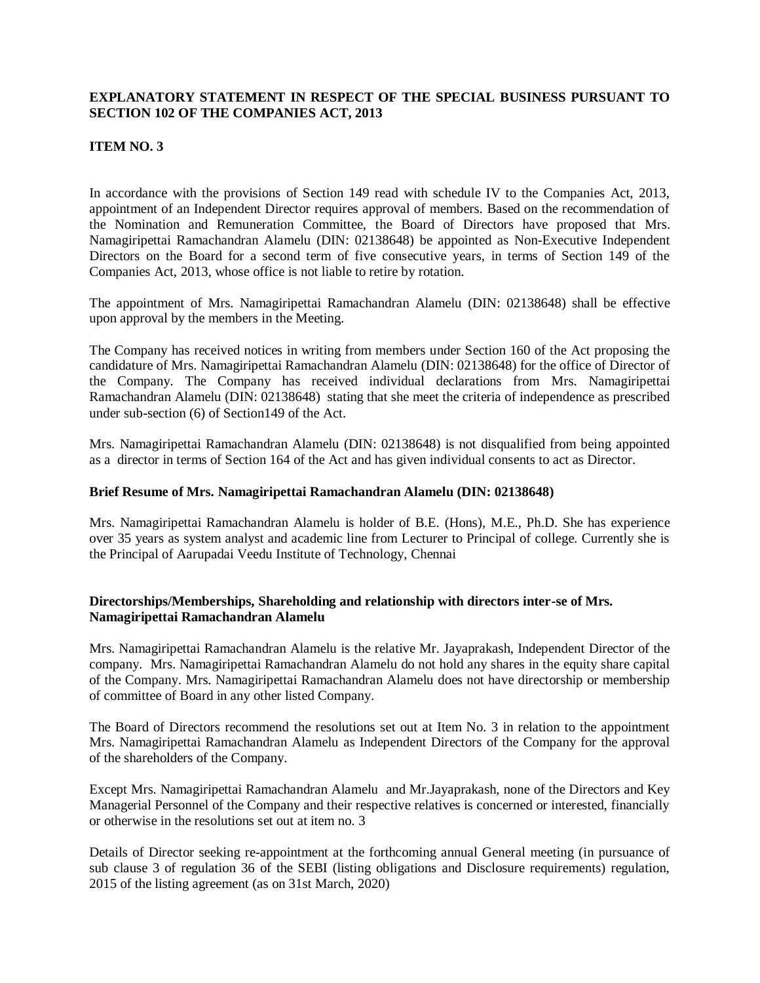### **EXPLANATORY STATEMENT IN RESPECT OF THE SPECIAL BUSINESS PURSUANT TO SECTION 102 OF THE COMPANIES ACT, 2013**

### **ITEM NO. 3**

In accordance with the provisions of Section 149 read with schedule IV to the Companies Act, 2013, appointment of an Independent Director requires approval of members. Based on the recommendation of the Nomination and Remuneration Committee, the Board of Directors have proposed that Mrs. Namagiripettai Ramachandran Alamelu (DIN: 02138648) be appointed as Non-Executive Independent Directors on the Board for a second term of five consecutive years, in terms of Section 149 of the Companies Act, 2013, whose office is not liable to retire by rotation.

The appointment of Mrs. Namagiripettai Ramachandran Alamelu (DIN: 02138648) shall be effective upon approval by the members in the Meeting.

The Company has received notices in writing from members under Section 160 of the Act proposing the candidature of Mrs. Namagiripettai Ramachandran Alamelu (DIN: 02138648) for the office of Director of the Company. The Company has received individual declarations from Mrs. Namagiripettai Ramachandran Alamelu (DIN: 02138648) stating that she meet the criteria of independence as prescribed under sub-section (6) of Section149 of the Act.

Mrs. Namagiripettai Ramachandran Alamelu (DIN: 02138648) is not disqualified from being appointed as a director in terms of Section 164 of the Act and has given individual consents to act as Director.

### **Brief Resume of Mrs. Namagiripettai Ramachandran Alamelu (DIN: 02138648)**

Mrs. Namagiripettai Ramachandran Alamelu is holder of B.E. (Hons), M.E., Ph.D. She has experience over 35 years as system analyst and academic line from Lecturer to Principal of college. Currently she is the Principal of Aarupadai Veedu Institute of Technology, Chennai

### **Directorships/Memberships, Shareholding and relationship with directors inter-se of Mrs. Namagiripettai Ramachandran Alamelu**

Mrs. Namagiripettai Ramachandran Alamelu is the relative Mr. Jayaprakash, Independent Director of the company. Mrs. Namagiripettai Ramachandran Alamelu do not hold any shares in the equity share capital of the Company. Mrs. Namagiripettai Ramachandran Alamelu does not have directorship or membership of committee of Board in any other listed Company.

The Board of Directors recommend the resolutions set out at Item No. 3 in relation to the appointment Mrs. Namagiripettai Ramachandran Alamelu as Independent Directors of the Company for the approval of the shareholders of the Company.

Except Mrs. Namagiripettai Ramachandran Alameluand Mr.Jayaprakash, none of the Directors and Key Managerial Personnel of the Company and their respective relatives is concerned or interested, financially or otherwise in the resolutions set out at item no. 3

Details of Director seeking re-appointment at the forthcoming annual General meeting (in pursuance of sub clause 3 of regulation 36 of the SEBI (listing obligations and Disclosure requirements) regulation, 2015 of the listing agreement (as on 31st March, 2020)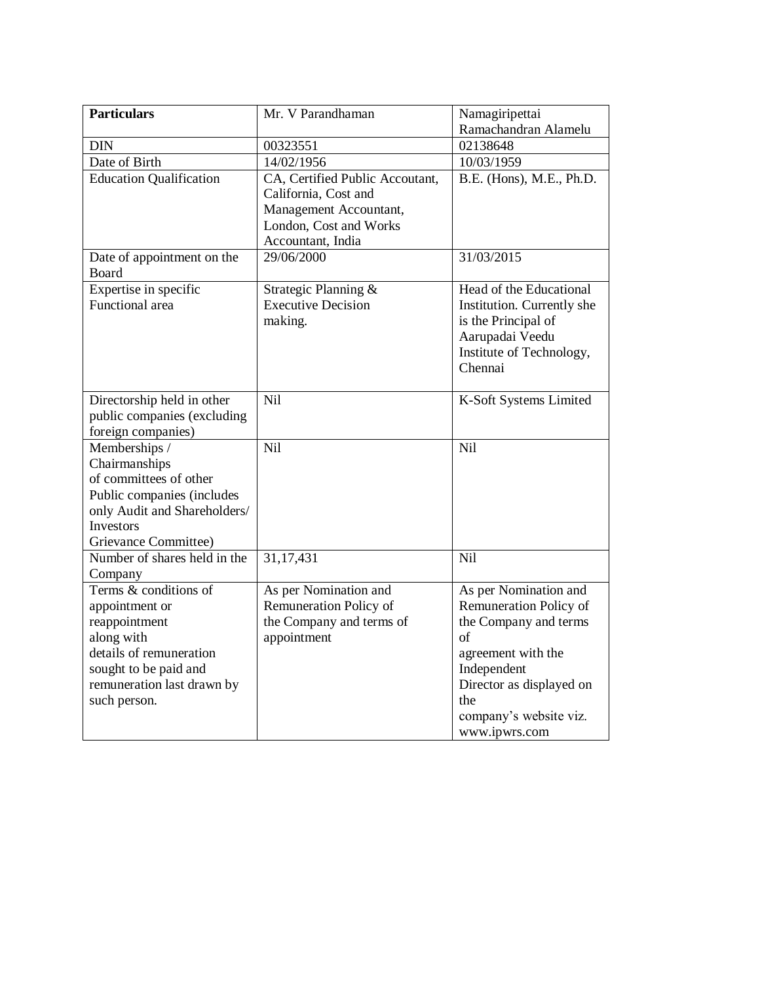| <b>Particulars</b>             | Mr. V Parandhaman               | Namagiripettai             |
|--------------------------------|---------------------------------|----------------------------|
|                                |                                 | Ramachandran Alamelu       |
| <b>DIN</b>                     | 00323551                        | 02138648                   |
| Date of Birth                  | 14/02/1956                      | 10/03/1959                 |
| <b>Education Qualification</b> | CA, Certified Public Accoutant, | B.E. (Hons), M.E., Ph.D.   |
|                                | California, Cost and            |                            |
|                                | Management Accountant,          |                            |
|                                | London, Cost and Works          |                            |
|                                | Accountant, India               |                            |
| Date of appointment on the     | 29/06/2000                      | 31/03/2015                 |
| Board                          |                                 |                            |
| Expertise in specific          | Strategic Planning &            | Head of the Educational    |
| Functional area                | <b>Executive Decision</b>       | Institution. Currently she |
|                                | making.                         | is the Principal of        |
|                                |                                 | Aarupadai Veedu            |
|                                |                                 | Institute of Technology,   |
|                                |                                 | Chennai                    |
| Directorship held in other     | Nil                             | K-Soft Systems Limited     |
| public companies (excluding    |                                 |                            |
| foreign companies)             |                                 |                            |
| Memberships /                  | Nil                             | Nil                        |
| Chairmanships                  |                                 |                            |
| of committees of other         |                                 |                            |
| Public companies (includes     |                                 |                            |
| only Audit and Shareholders/   |                                 |                            |
| Investors                      |                                 |                            |
| Grievance Committee)           |                                 |                            |
| Number of shares held in the   | 31,17,431                       | Nil                        |
| Company                        |                                 |                            |
| Terms & conditions of          | As per Nomination and           | As per Nomination and      |
| appointment or                 | Remuneration Policy of          | Remuneration Policy of     |
| reappointment                  | the Company and terms of        | the Company and terms      |
| along with                     | appointment                     | of                         |
| details of remuneration        |                                 | agreement with the         |
| sought to be paid and          |                                 | Independent                |
| remuneration last drawn by     |                                 | Director as displayed on   |
| such person.                   |                                 | the                        |
|                                |                                 | company's website viz.     |
|                                |                                 | www.ipwrs.com              |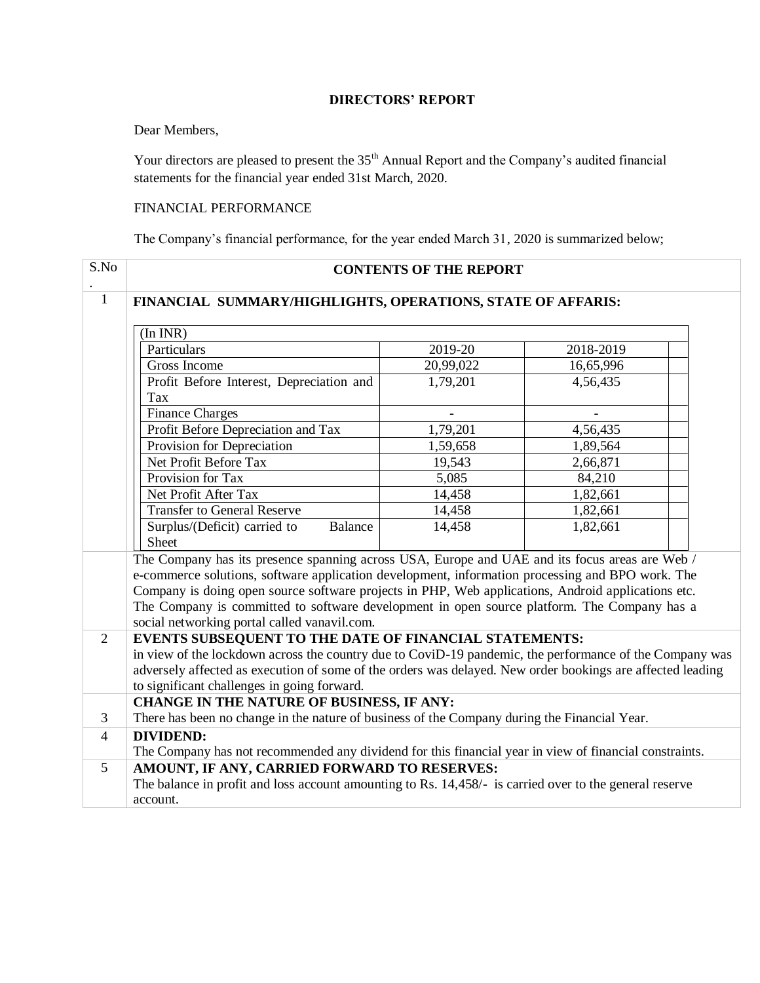### **DIRECTORS' REPORT**

### Dear Members,

Your directors are pleased to present the 35<sup>th</sup> Annual Report and the Company's audited financial statements for the financial year ended 31st March, 2020.

### FINANCIAL PERFORMANCE

The Company's financial performance, for the year ended March 31, 2020 is summarized below;

| S.No           |                                                                                                            | <b>CONTENTS OF THE REPORT</b> |           |  |
|----------------|------------------------------------------------------------------------------------------------------------|-------------------------------|-----------|--|
| $\mathbf{1}$   | FINANCIAL SUMMARY/HIGHLIGHTS, OPERATIONS, STATE OF AFFARIS:                                                |                               |           |  |
|                | (In INR)                                                                                                   |                               |           |  |
|                | Particulars                                                                                                | 2019-20                       | 2018-2019 |  |
|                | Gross Income                                                                                               | 20,99,022                     | 16,65,996 |  |
|                | Profit Before Interest, Depreciation and<br>Tax                                                            | 1,79,201                      | 4,56,435  |  |
|                | <b>Finance Charges</b>                                                                                     |                               |           |  |
|                | Profit Before Depreciation and Tax                                                                         | 1,79,201                      | 4,56,435  |  |
|                | Provision for Depreciation                                                                                 | 1,59,658                      | 1,89,564  |  |
|                | Net Profit Before Tax                                                                                      | 19,543                        | 2,66,871  |  |
|                | Provision for Tax                                                                                          | 5,085                         | 84,210    |  |
|                | Net Profit After Tax                                                                                       | 14,458                        | 1,82,661  |  |
|                | <b>Transfer to General Reserve</b>                                                                         | 14,458                        | 1,82,661  |  |
|                | Surplus/(Deficit) carried to<br>Balance<br>Sheet                                                           | 14,458                        | 1,82,661  |  |
|                | The Company has its presence spanning across USA, Europe and UAE and its focus areas are Web /             |                               |           |  |
|                | e-commerce solutions, software application development, information processing and BPO work. The           |                               |           |  |
|                | Company is doing open source software projects in PHP, Web applications, Android applications etc.         |                               |           |  |
|                | The Company is committed to software development in open source platform. The Company has a                |                               |           |  |
|                | social networking portal called vanavil.com.                                                               |                               |           |  |
| 2              | EVENTS SUBSEQUENT TO THE DATE OF FINANCIAL STATEMENTS:                                                     |                               |           |  |
|                | in view of the lockdown across the country due to CoviD-19 pandemic, the performance of the Company was    |                               |           |  |
|                | adversely affected as execution of some of the orders was delayed. New order bookings are affected leading |                               |           |  |
|                | to significant challenges in going forward.                                                                |                               |           |  |
|                | <b>CHANGE IN THE NATURE OF BUSINESS, IF ANY:</b>                                                           |                               |           |  |
| 3              | There has been no change in the nature of business of the Company during the Financial Year.               |                               |           |  |
| $\overline{4}$ | <b>DIVIDEND:</b>                                                                                           |                               |           |  |
|                | The Company has not recommended any dividend for this financial year in view of financial constraints.     |                               |           |  |
| 5              | AMOUNT, IF ANY, CARRIED FORWARD TO RESERVES:                                                               |                               |           |  |
|                | The balance in profit and loss account amounting to Rs. 14,458/- is carried over to the general reserve    |                               |           |  |
|                | account.                                                                                                   |                               |           |  |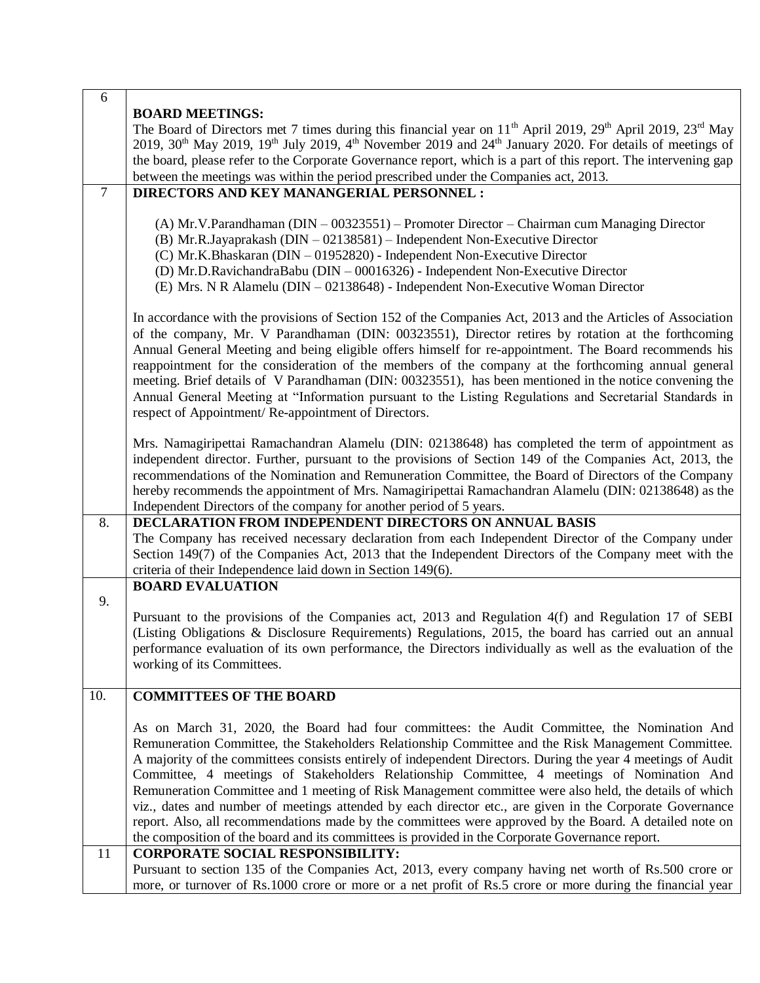| $\sigma$ |                                                                                                                                                                                                                                                                                                                                                                                                                                                                                                                                                                                                                                                                                                                                                                                                                                                      |
|----------|------------------------------------------------------------------------------------------------------------------------------------------------------------------------------------------------------------------------------------------------------------------------------------------------------------------------------------------------------------------------------------------------------------------------------------------------------------------------------------------------------------------------------------------------------------------------------------------------------------------------------------------------------------------------------------------------------------------------------------------------------------------------------------------------------------------------------------------------------|
|          | <b>BOARD MEETINGS:</b>                                                                                                                                                                                                                                                                                                                                                                                                                                                                                                                                                                                                                                                                                                                                                                                                                               |
|          | The Board of Directors met 7 times during this financial year on 11 <sup>th</sup> April 2019, 29 <sup>th</sup> April 2019, 23 <sup>rd</sup> May<br>2019, 30 <sup>th</sup> May 2019, 19 <sup>th</sup> July 2019, 4 <sup>th</sup> November 2019 and 24 <sup>th</sup> January 2020. For details of meetings of                                                                                                                                                                                                                                                                                                                                                                                                                                                                                                                                          |
|          | the board, please refer to the Corporate Governance report, which is a part of this report. The intervening gap                                                                                                                                                                                                                                                                                                                                                                                                                                                                                                                                                                                                                                                                                                                                      |
|          | between the meetings was within the period prescribed under the Companies act, 2013.                                                                                                                                                                                                                                                                                                                                                                                                                                                                                                                                                                                                                                                                                                                                                                 |
| $\tau$   | DIRECTORS AND KEY MANANGERIAL PERSONNEL :                                                                                                                                                                                                                                                                                                                                                                                                                                                                                                                                                                                                                                                                                                                                                                                                            |
|          |                                                                                                                                                                                                                                                                                                                                                                                                                                                                                                                                                                                                                                                                                                                                                                                                                                                      |
|          | $(A)$ Mr.V.Parandhaman (DIN $-$ 00323551) – Promoter Director – Chairman cum Managing Director<br>(B) Mr.R.Jayaprakash (DIN - 02138581) - Independent Non-Executive Director<br>(C) Mr.K.Bhaskaran (DIN – 01952820) - Independent Non-Executive Director<br>(D) Mr.D.RavichandraBabu (DIN $-00016326$ ) - Independent Non-Executive Director<br>(E) Mrs. N R Alamelu (DIN - 02138648) - Independent Non-Executive Woman Director                                                                                                                                                                                                                                                                                                                                                                                                                     |
|          | In accordance with the provisions of Section 152 of the Companies Act, 2013 and the Articles of Association<br>of the company, Mr. V Parandhaman (DIN: 00323551), Director retires by rotation at the forthcoming<br>Annual General Meeting and being eligible offers himself for re-appointment. The Board recommends his<br>reappointment for the consideration of the members of the company at the forthcoming annual general<br>meeting. Brief details of V Parandhaman (DIN: 00323551), has been mentioned in the notice convening the<br>Annual General Meeting at "Information pursuant to the Listing Regulations and Secretarial Standards in<br>respect of Appointment/Re-appointment of Directors.                                                                                                                                       |
|          | Mrs. Namagiripettai Ramachandran Alamelu (DIN: 02138648) has completed the term of appointment as<br>independent director. Further, pursuant to the provisions of Section 149 of the Companies Act, 2013, the<br>recommendations of the Nomination and Remuneration Committee, the Board of Directors of the Company<br>hereby recommends the appointment of Mrs. Namagiripettai Ramachandran Alamelu (DIN: 02138648) as the<br>Independent Directors of the company for another period of 5 years.                                                                                                                                                                                                                                                                                                                                                  |
| 8.       | DECLARATION FROM INDEPENDENT DIRECTORS ON ANNUAL BASIS<br>The Company has received necessary declaration from each Independent Director of the Company under<br>Section 149(7) of the Companies Act, 2013 that the Independent Directors of the Company meet with the<br>criteria of their Independence laid down in Section 149(6).                                                                                                                                                                                                                                                                                                                                                                                                                                                                                                                 |
|          | <b>BOARD EVALUATION</b>                                                                                                                                                                                                                                                                                                                                                                                                                                                                                                                                                                                                                                                                                                                                                                                                                              |
| 9.       |                                                                                                                                                                                                                                                                                                                                                                                                                                                                                                                                                                                                                                                                                                                                                                                                                                                      |
|          | Pursuant to the provisions of the Companies act, 2013 and Regulation 4(f) and Regulation 17 of SEBI<br>(Listing Obligations & Disclosure Requirements) Regulations, 2015, the board has carried out an annual<br>performance evaluation of its own performance, the Directors individually as well as the evaluation of the<br>working of its Committees.                                                                                                                                                                                                                                                                                                                                                                                                                                                                                            |
| 10.      | <b>COMMITTEES OF THE BOARD</b>                                                                                                                                                                                                                                                                                                                                                                                                                                                                                                                                                                                                                                                                                                                                                                                                                       |
|          | As on March 31, 2020, the Board had four committees: the Audit Committee, the Nomination And<br>Remuneration Committee, the Stakeholders Relationship Committee and the Risk Management Committee.<br>A majority of the committees consists entirely of independent Directors. During the year 4 meetings of Audit<br>Committee, 4 meetings of Stakeholders Relationship Committee, 4 meetings of Nomination And<br>Remuneration Committee and 1 meeting of Risk Management committee were also held, the details of which<br>viz., dates and number of meetings attended by each director etc., are given in the Corporate Governance<br>report. Also, all recommendations made by the committees were approved by the Board. A detailed note on<br>the composition of the board and its committees is provided in the Corporate Governance report. |
| 11       | <b>CORPORATE SOCIAL RESPONSIBILITY:</b><br>Pursuant to section 135 of the Companies Act, 2013, every company having net worth of Rs.500 crore or                                                                                                                                                                                                                                                                                                                                                                                                                                                                                                                                                                                                                                                                                                     |
|          | more, or turnover of Rs.1000 crore or more or a net profit of Rs.5 crore or more during the financial year                                                                                                                                                                                                                                                                                                                                                                                                                                                                                                                                                                                                                                                                                                                                           |

<u>ا بر</u>

Τ

 $\Gamma$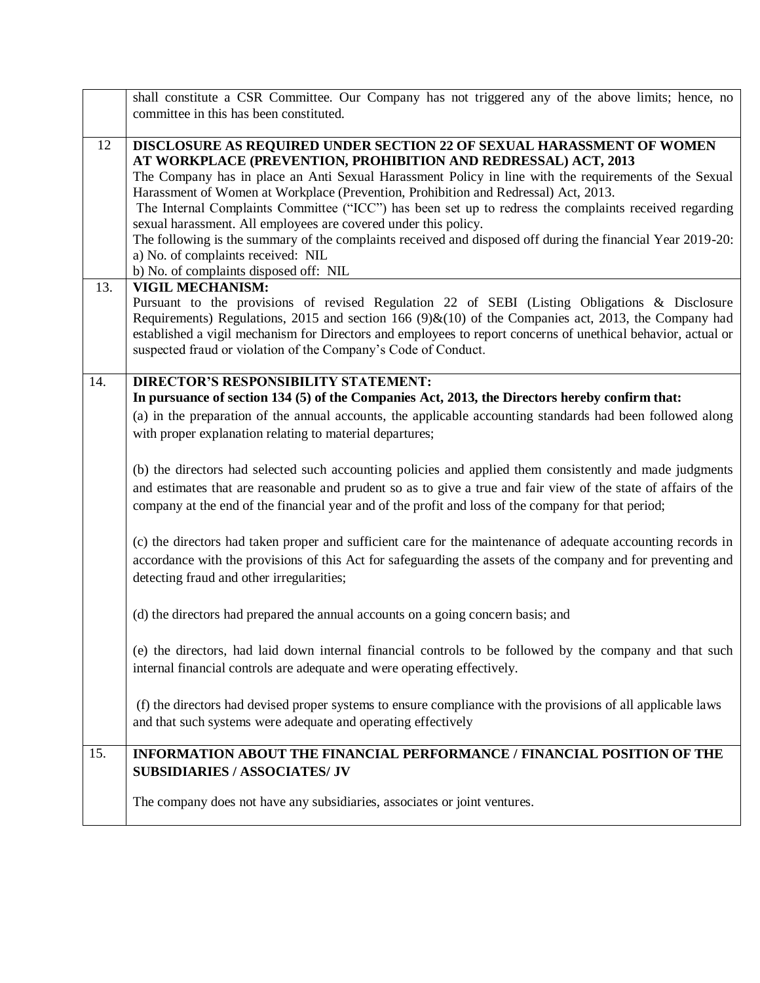|     | shall constitute a CSR Committee. Our Company has not triggered any of the above limits; hence, no              |
|-----|-----------------------------------------------------------------------------------------------------------------|
|     | committee in this has been constituted.                                                                         |
| 12  | DISCLOSURE AS REQUIRED UNDER SECTION 22 OF SEXUAL HARASSMENT OF WOMEN                                           |
|     | AT WORKPLACE (PREVENTION, PROHIBITION AND REDRESSAL) ACT, 2013                                                  |
|     | The Company has in place an Anti Sexual Harassment Policy in line with the requirements of the Sexual           |
|     | Harassment of Women at Workplace (Prevention, Prohibition and Redressal) Act, 2013.                             |
|     | The Internal Complaints Committee ("ICC") has been set up to redress the complaints received regarding          |
|     | sexual harassment. All employees are covered under this policy.                                                 |
|     | The following is the summary of the complaints received and disposed off during the financial Year 2019-20:     |
|     | a) No. of complaints received: NIL                                                                              |
| 13. | b) No. of complaints disposed off: NIL<br><b>VIGIL MECHANISM:</b>                                               |
|     | Pursuant to the provisions of revised Regulation 22 of SEBI (Listing Obligations & Disclosure                   |
|     | Requirements) Regulations, 2015 and section 166 (9) $\&$ (10) of the Companies act, 2013, the Company had       |
|     | established a vigil mechanism for Directors and employees to report concerns of unethical behavior, actual or   |
|     | suspected fraud or violation of the Company's Code of Conduct.                                                  |
|     |                                                                                                                 |
| 14. | <b>DIRECTOR'S RESPONSIBILITY STATEMENT:</b>                                                                     |
|     | In pursuance of section 134 (5) of the Companies Act, 2013, the Directors hereby confirm that:                  |
|     | (a) in the preparation of the annual accounts, the applicable accounting standards had been followed along      |
|     | with proper explanation relating to material departures;                                                        |
|     |                                                                                                                 |
|     | (b) the directors had selected such accounting policies and applied them consistently and made judgments        |
|     | and estimates that are reasonable and prudent so as to give a true and fair view of the state of affairs of the |
|     | company at the end of the financial year and of the profit and loss of the company for that period;             |
|     | (c) the directors had taken proper and sufficient care for the maintenance of adequate accounting records in    |
|     | accordance with the provisions of this Act for safeguarding the assets of the company and for preventing and    |
|     | detecting fraud and other irregularities;                                                                       |
|     |                                                                                                                 |
|     | (d) the directors had prepared the annual accounts on a going concern basis; and                                |
|     |                                                                                                                 |
|     | (e) the directors, had laid down internal financial controls to be followed by the company and that such        |
|     | internal financial controls are adequate and were operating effectively.                                        |
|     |                                                                                                                 |
|     | (f) the directors had devised proper systems to ensure compliance with the provisions of all applicable laws    |
|     | and that such systems were adequate and operating effectively                                                   |
|     |                                                                                                                 |
| 15. | INFORMATION ABOUT THE FINANCIAL PERFORMANCE / FINANCIAL POSITION OF THE                                         |
|     | <b>SUBSIDIARIES / ASSOCIATES/ JV</b>                                                                            |
|     | The company does not have any subsidiaries, associates or joint ventures.                                       |
|     |                                                                                                                 |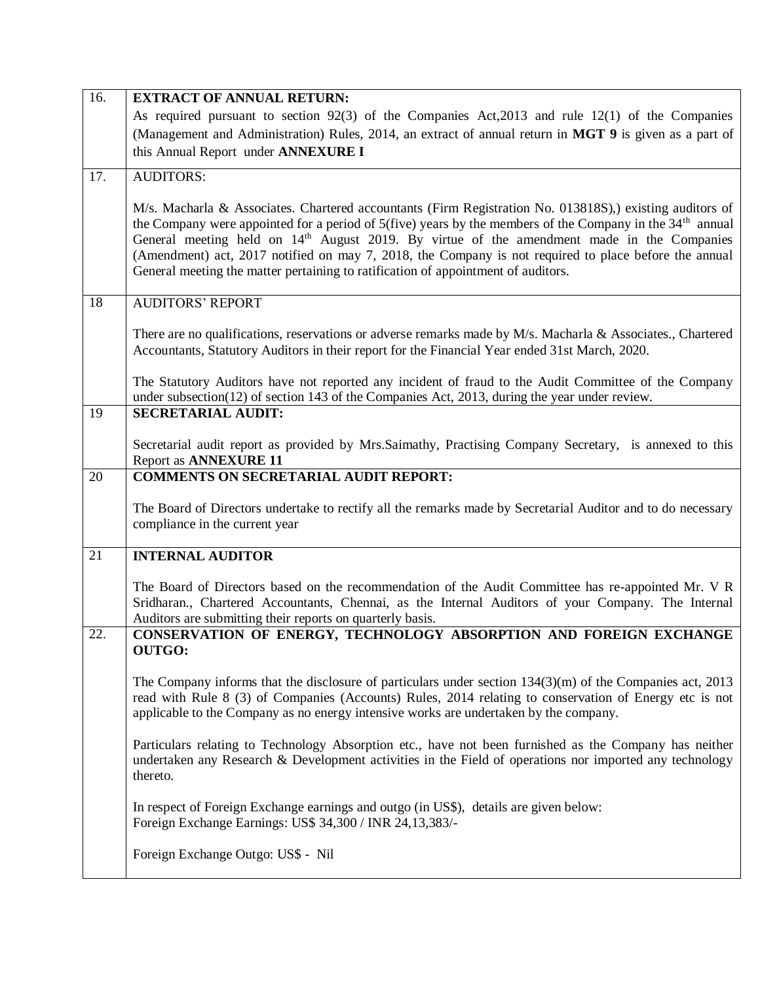| 16. | <b>EXTRACT OF ANNUAL RETURN:</b><br>As required pursuant to section 92(3) of the Companies Act, 2013 and rule 12(1) of the Companies<br>(Management and Administration) Rules, 2014, an extract of annual return in MGT 9 is given as a part of<br>this Annual Report under ANNEXURE I                                                                                                                                                                                                                                          |
|-----|---------------------------------------------------------------------------------------------------------------------------------------------------------------------------------------------------------------------------------------------------------------------------------------------------------------------------------------------------------------------------------------------------------------------------------------------------------------------------------------------------------------------------------|
| 17. | <b>AUDITORS:</b>                                                                                                                                                                                                                                                                                                                                                                                                                                                                                                                |
|     | M/s. Macharla & Associates. Chartered accountants (Firm Registration No. 013818S),) existing auditors of<br>the Company were appointed for a period of 5(five) years by the members of the Company in the $34th$ annual<br>General meeting held on 14 <sup>th</sup> August 2019. By virtue of the amendment made in the Companies<br>(Amendment) act, 2017 notified on may 7, 2018, the Company is not required to place before the annual<br>General meeting the matter pertaining to ratification of appointment of auditors. |
| 18  | <b>AUDITORS' REPORT</b>                                                                                                                                                                                                                                                                                                                                                                                                                                                                                                         |
|     | There are no qualifications, reservations or adverse remarks made by M/s. Macharla & Associates., Chartered<br>Accountants, Statutory Auditors in their report for the Financial Year ended 31st March, 2020.                                                                                                                                                                                                                                                                                                                   |
|     | The Statutory Auditors have not reported any incident of fraud to the Audit Committee of the Company<br>under subsection(12) of section 143 of the Companies Act, 2013, during the year under review.                                                                                                                                                                                                                                                                                                                           |
| 19  | <b>SECRETARIAL AUDIT:</b>                                                                                                                                                                                                                                                                                                                                                                                                                                                                                                       |
|     | Secretarial audit report as provided by Mrs. Saimathy, Practising Company Secretary, is annexed to this<br><b>Report as ANNEXURE 11</b>                                                                                                                                                                                                                                                                                                                                                                                         |
| 20  | <b>COMMENTS ON SECRETARIAL AUDIT REPORT:</b>                                                                                                                                                                                                                                                                                                                                                                                                                                                                                    |
|     | The Board of Directors undertake to rectify all the remarks made by Secretarial Auditor and to do necessary<br>compliance in the current year                                                                                                                                                                                                                                                                                                                                                                                   |
| 21  | <b>INTERNAL AUDITOR</b>                                                                                                                                                                                                                                                                                                                                                                                                                                                                                                         |
|     | The Board of Directors based on the recommendation of the Audit Committee has re-appointed Mr. V R<br>Sridharan., Chartered Accountants, Chennai, as the Internal Auditors of your Company. The Internal<br>Auditors are submitting their reports on quarterly basis.                                                                                                                                                                                                                                                           |
| 22. | CONSERVATION OF ENERGY, TECHNOLOGY ABSORPTION AND FOREIGN EXCHANGE<br><b>OUTGO:</b>                                                                                                                                                                                                                                                                                                                                                                                                                                             |
|     | The Company informs that the disclosure of particulars under section $134(3)(m)$ of the Companies act, 2013<br>read with Rule 8 (3) of Companies (Accounts) Rules, 2014 relating to conservation of Energy etc is not<br>applicable to the Company as no energy intensive works are undertaken by the company.                                                                                                                                                                                                                  |
|     | Particulars relating to Technology Absorption etc., have not been furnished as the Company has neither<br>undertaken any Research & Development activities in the Field of operations nor imported any technology<br>thereto.                                                                                                                                                                                                                                                                                                   |
|     | In respect of Foreign Exchange earnings and outgo (in US\$), details are given below:<br>Foreign Exchange Earnings: US\$ 34,300 / INR 24,13,383/-                                                                                                                                                                                                                                                                                                                                                                               |
|     | Foreign Exchange Outgo: US\$ - Nil                                                                                                                                                                                                                                                                                                                                                                                                                                                                                              |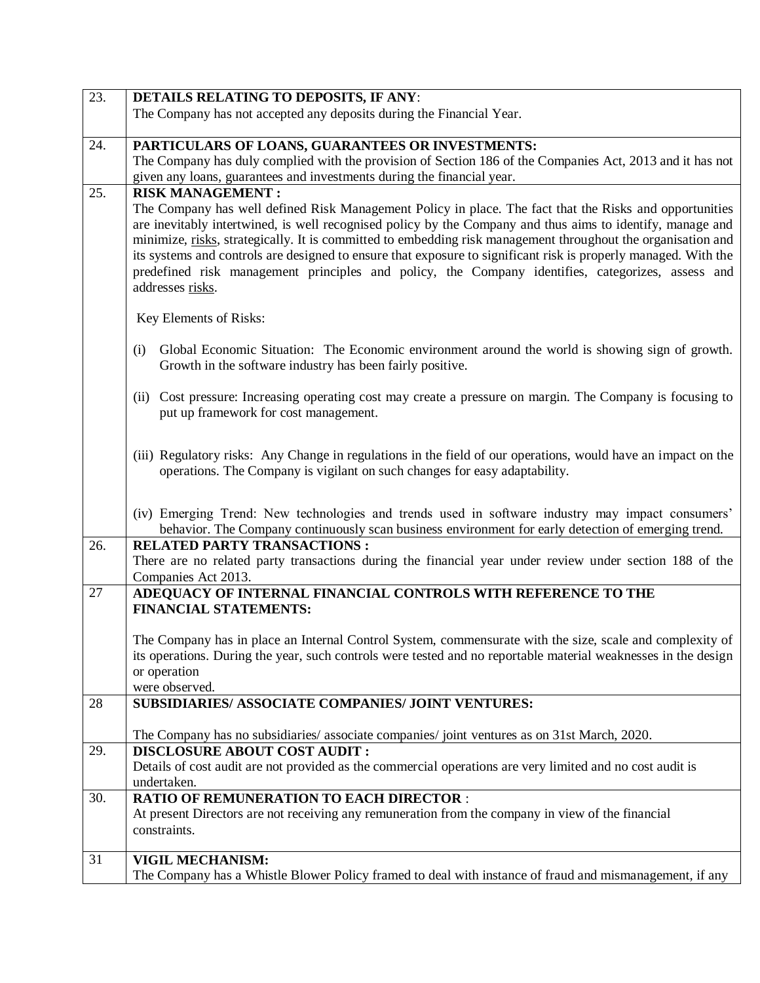| 23. | DETAILS RELATING TO DEPOSITS, IF ANY:                                                                                                                                                                                                                                                                                                                                                                                                                                                                                                                                             |
|-----|-----------------------------------------------------------------------------------------------------------------------------------------------------------------------------------------------------------------------------------------------------------------------------------------------------------------------------------------------------------------------------------------------------------------------------------------------------------------------------------------------------------------------------------------------------------------------------------|
|     | The Company has not accepted any deposits during the Financial Year.                                                                                                                                                                                                                                                                                                                                                                                                                                                                                                              |
|     |                                                                                                                                                                                                                                                                                                                                                                                                                                                                                                                                                                                   |
| 24. | PARTICULARS OF LOANS, GUARANTEES OR INVESTMENTS:                                                                                                                                                                                                                                                                                                                                                                                                                                                                                                                                  |
|     | The Company has duly complied with the provision of Section 186 of the Companies Act, 2013 and it has not                                                                                                                                                                                                                                                                                                                                                                                                                                                                         |
|     | given any loans, guarantees and investments during the financial year.                                                                                                                                                                                                                                                                                                                                                                                                                                                                                                            |
| 25. | <b>RISK MANAGEMENT:</b>                                                                                                                                                                                                                                                                                                                                                                                                                                                                                                                                                           |
|     | The Company has well defined Risk Management Policy in place. The fact that the Risks and opportunities<br>are inevitably intertwined, is well recognised policy by the Company and thus aims to identify, manage and<br>minimize, risks, strategically. It is committed to embedding risk management throughout the organisation and<br>its systems and controls are designed to ensure that exposure to significant risk is properly managed. With the<br>predefined risk management principles and policy, the Company identifies, categorizes, assess and<br>addresses risks. |
|     | Key Elements of Risks:                                                                                                                                                                                                                                                                                                                                                                                                                                                                                                                                                            |
|     | Global Economic Situation: The Economic environment around the world is showing sign of growth.<br>(i)<br>Growth in the software industry has been fairly positive.                                                                                                                                                                                                                                                                                                                                                                                                               |
|     | Cost pressure: Increasing operating cost may create a pressure on margin. The Company is focusing to<br>(ii)<br>put up framework for cost management.                                                                                                                                                                                                                                                                                                                                                                                                                             |
|     | (iii) Regulatory risks: Any Change in regulations in the field of our operations, would have an impact on the<br>operations. The Company is vigilant on such changes for easy adaptability.                                                                                                                                                                                                                                                                                                                                                                                       |
|     | (iv) Emerging Trend: New technologies and trends used in software industry may impact consumers'<br>behavior. The Company continuously scan business environment for early detection of emerging trend.                                                                                                                                                                                                                                                                                                                                                                           |
| 26. | <b>RELATED PARTY TRANSACTIONS:</b>                                                                                                                                                                                                                                                                                                                                                                                                                                                                                                                                                |
|     | There are no related party transactions during the financial year under review under section 188 of the<br>Companies Act 2013.                                                                                                                                                                                                                                                                                                                                                                                                                                                    |
| 27  | ADEQUACY OF INTERNAL FINANCIAL CONTROLS WITH REFERENCE TO THE<br><b>FINANCIAL STATEMENTS:</b>                                                                                                                                                                                                                                                                                                                                                                                                                                                                                     |
|     | The Company has in place an Internal Control System, commensurate with the size, scale and complexity of<br>its operations. During the year, such controls were tested and no reportable material weaknesses in the design<br>or operation<br>were observed.                                                                                                                                                                                                                                                                                                                      |
| 28  | SUBSIDIARIES/ ASSOCIATE COMPANIES/ JOINT VENTURES:                                                                                                                                                                                                                                                                                                                                                                                                                                                                                                                                |
|     | The Company has no subsidiaries/ associate companies/ joint ventures as on 31st March, 2020.                                                                                                                                                                                                                                                                                                                                                                                                                                                                                      |
| 29. | <b>DISCLOSURE ABOUT COST AUDIT :</b>                                                                                                                                                                                                                                                                                                                                                                                                                                                                                                                                              |
|     | Details of cost audit are not provided as the commercial operations are very limited and no cost audit is<br>undertaken.                                                                                                                                                                                                                                                                                                                                                                                                                                                          |
| 30. | <b>RATIO OF REMUNERATION TO EACH DIRECTOR :</b>                                                                                                                                                                                                                                                                                                                                                                                                                                                                                                                                   |
|     | At present Directors are not receiving any remuneration from the company in view of the financial<br>constraints.                                                                                                                                                                                                                                                                                                                                                                                                                                                                 |
| 31  | <b>VIGIL MECHANISM:</b>                                                                                                                                                                                                                                                                                                                                                                                                                                                                                                                                                           |
|     | The Company has a Whistle Blower Policy framed to deal with instance of fraud and mismanagement, if any                                                                                                                                                                                                                                                                                                                                                                                                                                                                           |